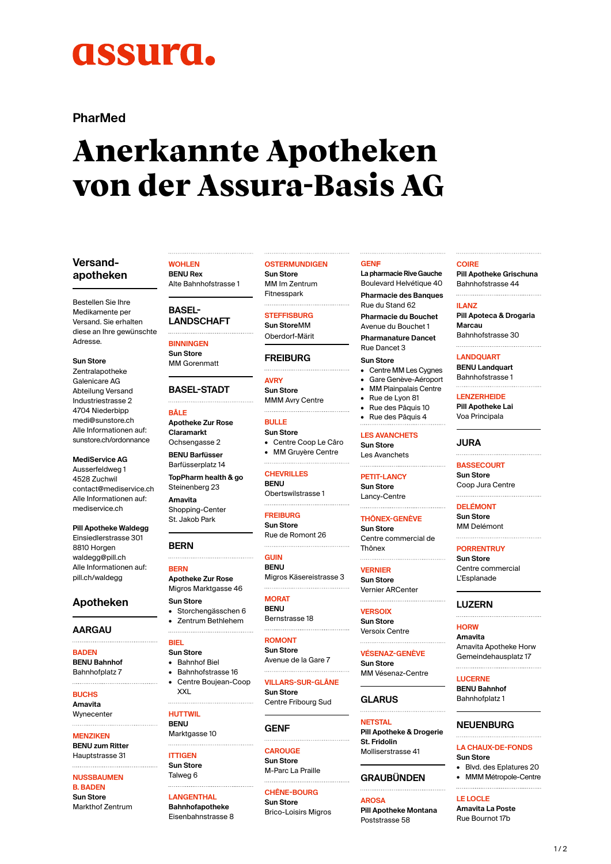# **ASSUITA.**

# **PharMed**

# **Anerkannte Apotheken von der Assura-Basis AG**

## **Versandapotheken**

Bestellen Sie Ihre Medikamente per Versand. Sie erhalten diese an Ihre gewünschte Adresse.

**Sun Store** 

Zentralapotheke Galenicare AG Abteilung Versand Industriestrasse 2 4704 Niederbipp [medi@sunstore.ch](mailto:medi@sunstore.ch) Alle Informationen auf: [sunstore.ch/ordonnance](http://sunstore.ch/ordonnance)

**MediService AG** Ausserfeldweg 1 4528 Zuchwil [contact@mediservice.ch](mailto:contact@mediservice.ch) Alle Informationen auf: [mediservice.ch](https://www.mediservice.ch/de/home-de.html)

#### **Pill Apotheke Waldegg** Einsiedlerstrasse 301 8810 Horgen [waldegg@pill.ch](mailto:waldegg@pill.ch) Alle Informationen auf: [pill.ch/waldegg](https://www.pill.ch/standorte/pill-apotheke-waldegg.html)

# **Apotheken**

#### **AARGAU**

**BADEN BENU Bahnhof** Bahnhofplatz 7

# **BUCHS**

**Amavita Wynecenter** 

**MENZIKEN**

#### **BENU zum Ritter** Hauptstrasse 31

**NUSSBAUMEN** 

#### **B. BADEN Sun Store** Markthof Zentrum

**WOHLEN BENU Rex**

# Alte Bahnhofstrasse 1

**BASEL-LANDSCHAFT** 

**BINNINGEN Sun Store** MM Gorenmatt

**BASEL-STADT** 

**BÂLE**

**Apotheke Zur Rose Claramarkt** Ochsengasse 2

**BENU Barfüsser** Barfüsserplatz 14 **TopPharm health & go** Steinenberg 23

**Amavita** Shopping-Center St. Jakob Park

# **BERN**

**BERN Apotheke Zur Rose** Migros Marktgasse 46

**Sun Store** • Storchengässchen 6 • Zentrum Bethlehem

- **BIEL Sun Store**
- Bahnhof Biel
- Bahnhofstrasse 16

• Centre Boujean-Coop XXL

**HUTTWIL**

**BENU** Marktgasse 10 

- **ITTIGEN Sun Store**
- Talweg 6

**LANGENTHAL Bahnhofapotheke** Eisenbahnstrasse 8

# **OSTERMUNDIGEN**

**Sun Store** MM Im Zentrum Fitnesspark

**STEFFISBURG Sun Store**MM

Oberdorf-Märit

#### **FREIBURG**

**AVRY Sun Store** MMM Avry Centre 

**BULLE Sun Store** • Centre Coop Le Câro • MM Gruyère Centre

**CHEVRILLES BENU**

Obertswilstrasse 1 **FREIBURG**

**Sun Store** Rue de Romont 26

**GUIN BENU** Migros Käsereistrasse 3

**MORAT**

**BENU** Bernstrasse 18 

**ROMONT Sun Store** Avenue de la Gare 7

**VILLARS-SUR-GLÂNE Sun Store**

Centre Fribourg Sud

#### **GENF**

**CAROUGE Sun Store** M-Parc La Praille

**CHÊNE-BOURG Sun Store** Brico-Loisirs Migros

#### **GENF**

**La pharmacieRive Gauche** Boulevard Helvétique 40 **Pharmacie des Banques** Rue du Stand 62 **Pharmacie du Bouchet** Avenue du Bouchet 1

**Pharmanature Dancet** Rue Dancet 3

**Sun Store**

- Centre MM Les Cygnes
- Gare Genève-Aéroport • MM Plainpalais Centre
- Rue de Lyon 81
- Rue des Pâquis 10
- Rue des Pâquis 4

**LES AVANCHETS Sun Store**

Les Avanchets 

**PETIT-LANCY** 

**Sun Store** Lancy-Centre 

**THÔNEX-GENÈVE**

**Sun Store** Centre commercial de Thônex

**VERNIER**

**Sun Store** Vernier ARCenter 

**VERSOIX Sun Store** Versoix Centre

**VÉSENAZ-GENÈVE Sun Store** MM Vésenaz-Centre

**GLARUS**

**NETSTAL Pill Apotheke & Drogerie St. Fridolin** Molliserstrasse 41

# **GRAUBÜNDEN**

**AROSA Pill Apotheke Montana** Poststrasse 58

#### **COIRE**

**Pill Apotheke Grischuna** Bahnhofstrasse 44 

#### **ILANZ**

**Pill Apoteca & Drogaria Marcau** Bahnhofstrasse 30

**LANDQUART**

**BENU Landquart** Bahnhofstrasse 1

**LENZERHEIDE Pill Apotheke Lai** Voa Principala

# **JURA**

**BASSECOURT Sun Store** Coop Jura Centre

**DELÉMONT Sun Store** MM Delémont

#### **PORRENTRUY**

**Sun Store** Centre commercial L'Esplanade

#### **LUZERN**

**HORW Amavita** Amavita Apotheke Horw Gemeindehausplatz 17

**LUCERNE**

**LE LOCLE Amavita La Poste** Rue Bournot 17b

**BENU Bahnhof** Bahnhofplatz 1

#### **NEUENBURG**

#### **LA CHAUX-DE-FONDS Sun Store** • Blvd. des Eplatures 20

• MMM Métropole-Centre

 $1/2$